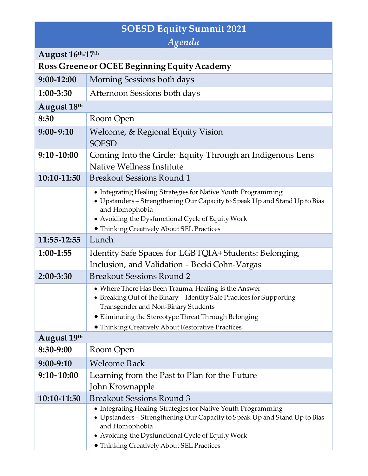## **SOESD Equity Summit 2021**

| Agenda                                       |                                                                                                                                                                                                                                                                                    |  |  |  |  |
|----------------------------------------------|------------------------------------------------------------------------------------------------------------------------------------------------------------------------------------------------------------------------------------------------------------------------------------|--|--|--|--|
| August 16th-17th                             |                                                                                                                                                                                                                                                                                    |  |  |  |  |
| Ross Greene or OCEE Beginning Equity Academy |                                                                                                                                                                                                                                                                                    |  |  |  |  |
| 9:00-12:00                                   | Morning Sessions both days                                                                                                                                                                                                                                                         |  |  |  |  |
| 1:00-3:30                                    | Afternoon Sessions both days                                                                                                                                                                                                                                                       |  |  |  |  |
| August 18th                                  |                                                                                                                                                                                                                                                                                    |  |  |  |  |
| 8:30                                         | Room Open                                                                                                                                                                                                                                                                          |  |  |  |  |
| $9:00 - 9:10$                                | Welcome, & Regional Equity Vision<br><b>SOESD</b>                                                                                                                                                                                                                                  |  |  |  |  |
| $9:10 - 10:00$                               | Coming Into the Circle: Equity Through an Indigenous Lens<br>Native Wellness Institute                                                                                                                                                                                             |  |  |  |  |
| 10:10-11:50                                  | <b>Breakout Sessions Round 1</b>                                                                                                                                                                                                                                                   |  |  |  |  |
|                                              | • Integrating Healing Strategies for Native Youth Programming<br>• Upstanders - Strengthening Our Capacity to Speak Up and Stand Up to Bias<br>and Homophobia<br>• Avoiding the Dysfunctional Cycle of Equity Work<br>• Thinking Creatively About SEL Practices                    |  |  |  |  |
| 11:55-12:55                                  | Lunch                                                                                                                                                                                                                                                                              |  |  |  |  |
| 1:00-1:55                                    | Identity Safe Spaces for LGBTQIA+Students: Belonging,<br>Inclusion, and Validation - Becki Cohn-Vargas                                                                                                                                                                             |  |  |  |  |
| $2:00 - 3:30$                                | <b>Breakout Sessions Round 2</b>                                                                                                                                                                                                                                                   |  |  |  |  |
|                                              | • Where There Has Been Trauma, Healing is the Answer<br>• Breaking Out of the Binary - Identity Safe Practices for Supporting<br>Transgender and Non-Binary Students<br>• Eliminating the Stereotype Threat Through Belonging<br>• Thinking Creatively About Restorative Practices |  |  |  |  |
| August 19th                                  |                                                                                                                                                                                                                                                                                    |  |  |  |  |
| 8:30-9:00                                    | Room Open                                                                                                                                                                                                                                                                          |  |  |  |  |
| 9:00-9:10                                    | <b>Welcome Back</b>                                                                                                                                                                                                                                                                |  |  |  |  |
| $9:10 - 10:00$                               | Learning from the Past to Plan for the Future                                                                                                                                                                                                                                      |  |  |  |  |
|                                              | John Krownapple<br><b>Breakout Sessions Round 3</b>                                                                                                                                                                                                                                |  |  |  |  |
| 10:10-11:50                                  | • Integrating Healing Strategies for Native Youth Programming<br>• Upstanders – Strengthening Our Capacity to Speak Up and Stand Up to Bias<br>and Homophobia<br>• Avoiding the Dysfunctional Cycle of Equity Work<br>• Thinking Creatively About SEL Practices                    |  |  |  |  |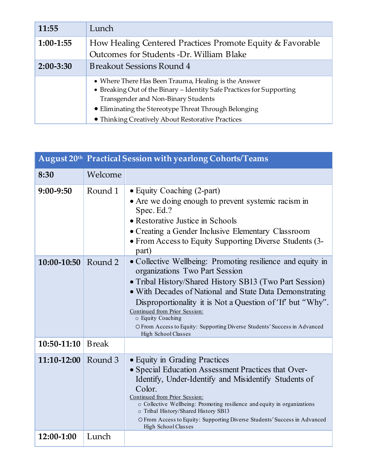| 11:55         | Lunch                                                                                                                                                                                                                         |  |
|---------------|-------------------------------------------------------------------------------------------------------------------------------------------------------------------------------------------------------------------------------|--|
| $1:00-1:55$   | How Healing Centered Practices Promote Equity & Favorable<br>Outcomes for Students -Dr. William Blake                                                                                                                         |  |
| $2:00 - 3:30$ | <b>Breakout Sessions Round 4</b>                                                                                                                                                                                              |  |
|               | • Where There Has Been Trauma, Healing is the Answer<br>• Breaking Out of the Binary - Identity Safe Practices for Supporting<br>Transgender and Non-Binary Students<br>• Eliminating the Stereotype Threat Through Belonging |  |
|               | • Thinking Creatively About Restorative Practices                                                                                                                                                                             |  |

| August 20th Practical Session with yearlong Cohorts/Teams |               |                                                                                                                                                                                                                                                                                                                                                                                                                                            |  |  |
|-----------------------------------------------------------|---------------|--------------------------------------------------------------------------------------------------------------------------------------------------------------------------------------------------------------------------------------------------------------------------------------------------------------------------------------------------------------------------------------------------------------------------------------------|--|--|
| 8:30                                                      | Welcome       |                                                                                                                                                                                                                                                                                                                                                                                                                                            |  |  |
| 9:00-9:50                                                 | Round 1       | • Equity Coaching (2-part)<br>• Are we doing enough to prevent systemic racism in<br>Spec. Ed.?<br>• Restorative Justice in Schools<br>• Creating a Gender Inclusive Elementary Classroom<br>• From Access to Equity Supporting Diverse Students (3-<br>part)                                                                                                                                                                              |  |  |
| 10:00-10:50                                               | Round 2       | • Collective Wellbeing: Promoting resilience and equity in<br>organizations Two Part Session<br>• Tribal History/Shared History SB13 (Two Part Session)<br>• With Decades of National and State Data Demonstrating<br>Disproportionality it is Not a Question of 'If' but "Why".<br>Continued from Prior Session:<br>o Equity Coaching<br>O From Access to Equity: Supporting Diverse Students' Success in Advanced<br>High School Classes |  |  |
| 10:50-11:10                                               | <b>B</b> reak |                                                                                                                                                                                                                                                                                                                                                                                                                                            |  |  |
| 11:10-12:00                                               | Round 3       | • Equity in Grading Practices<br>• Special Education Assessment Practices that Over-<br>Identify, Under-Identify and Misidentify Students of<br>Color.<br>Continued from Prior Session:<br>o Collective Wellbeing: Promoting resilience and equity in organizations<br>o Tribal History/Shared History SB13<br>O From Access to Equity: Supporting Diverse Students' Success in Advanced<br>High School Classes                            |  |  |
| 12:00-1:00                                                | Lunch         |                                                                                                                                                                                                                                                                                                                                                                                                                                            |  |  |